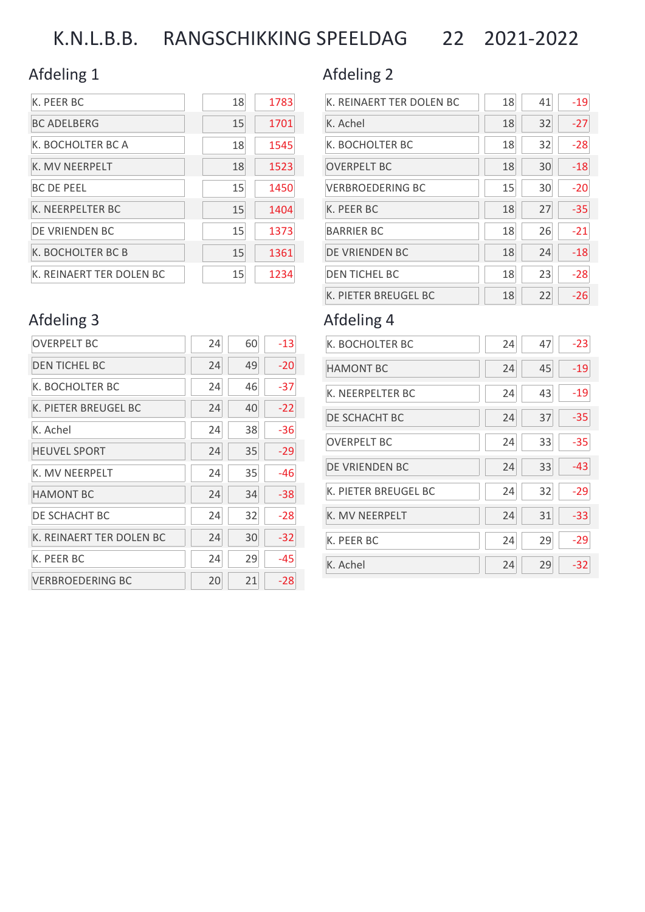# K.N.L.B.B. RANGSCHIKKING SPEELDAG 22 2021-2022

### Afdeling 1 and 2 Afdeling 2

| K. PEER BC               | 18 | 1783 |
|--------------------------|----|------|
| <b>BC ADELBERG</b>       | 15 | 1701 |
| K. BOCHOLTER BC A        | 18 | 1545 |
| K. MV NEERPELT           | 18 | 1523 |
| <b>BC DE PEEL</b>        | 15 | 1450 |
| K. NEERPELTER BC         | 15 | 1404 |
| DE VRIENDEN BC           | 15 | 1373 |
| K. BOCHOLTER BC B        | 15 | 1361 |
| K. REINAERT TER DOLEN BC | 15 | 1234 |

| K. REINAERT TER DOLEN BC | 18 | 41 | $-19$ |
|--------------------------|----|----|-------|
| K. Achel                 | 18 | 32 | $-27$ |
| K. BOCHOLTER BC          | 18 | 32 | $-28$ |
| <b>OVERPELT BC</b>       | 18 | 30 | $-18$ |
| <b>VERBROEDERING BC</b>  | 15 | 30 | $-20$ |
| K. PEER BC               | 18 | 27 | $-35$ |
| <b>BARRIER BC</b>        | 18 | 26 | $-21$ |
| DE VRIENDEN BC           | 18 | 24 | $-18$ |
| <b>DEN TICHEL BC</b>     | 18 | 23 | $-28$ |
| K. PIETER BREUGEL BC     | 18 | 22 | -26   |

| K. BOCHOLTER BC      | 24 | 47 | $-23$ |
|----------------------|----|----|-------|
| <b>HAMONT BC</b>     | 24 | 45 | $-19$ |
| K. NEERPELTER BC     | 24 | 43 | $-19$ |
| DE SCHACHT BC        | 24 | 37 | $-35$ |
| <b>OVERPELT BC</b>   | 24 | 33 | $-35$ |
| DE VRIENDEN BC       | 24 | 33 | $-43$ |
| K. PIETER BREUGEL BC | 24 | 32 | $-29$ |
| K. MV NEERPELT       | 24 | 31 | $-33$ |
| K. PEER BC           | 24 | 29 | $-29$ |
| K. Achel             | 24 | 29 | $-32$ |

## Afdeling 3 Afdeling 4

| <b>OVERPELT BC</b>       | 24 | 60 | $-13$ |
|--------------------------|----|----|-------|
| <b>DEN TICHEL BC</b>     | 24 | 49 | $-20$ |
| K. BOCHOLTER BC          | 24 | 46 | -37   |
| K. PIETER BREUGEL BC     | 24 | 40 | $-22$ |
| K. Achel                 | 24 | 38 | -36   |
| <b>HEUVEL SPORT</b>      | 24 | 35 | -29   |
| K. MV NEERPELT           | 24 | 35 | -46   |
| <b>HAMONT BC</b>         | 24 | 34 | -38   |
| DE SCHACHT BC            | 24 | 32 | -28   |
| K. REINAERT TER DOLEN BC | 24 | 30 | $-32$ |
| K. PEER BC               | 24 | 29 | -45   |
| <b>VERBROEDERING BC</b>  | 20 | 21 | -28   |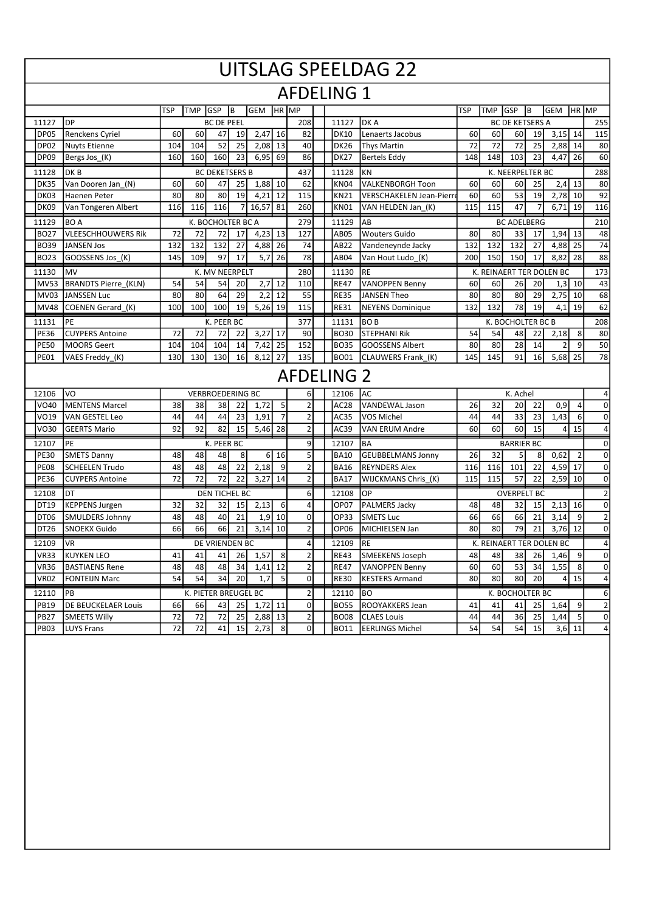|                   | <b>UITSLAG SPEELDAG 22</b>  |            |                      |                         |    |            |                |                  |  |                   |                                |            |                   |                        |          |                          |                 |                     |  |
|-------------------|-----------------------------|------------|----------------------|-------------------------|----|------------|----------------|------------------|--|-------------------|--------------------------------|------------|-------------------|------------------------|----------|--------------------------|-----------------|---------------------|--|
| <b>AFDELING 1</b> |                             |            |                      |                         |    |            |                |                  |  |                   |                                |            |                   |                        |          |                          |                 |                     |  |
|                   |                             | <b>TSP</b> | <b>TMP</b>           | GSP                     | B  | <b>GEM</b> | HR MP          |                  |  |                   |                                | <b>TSP</b> | <b>TMP</b>        | <b>GSP</b>             | Iв       | <b>GEM</b>               |                 | HR MP               |  |
| 11127             | <b>DP</b>                   |            |                      | <b>BC DE PEEL</b>       |    |            |                | 208              |  | 11127             | DK A                           |            |                   | <b>BC DE KETSERS A</b> |          |                          |                 | 255                 |  |
| <b>DP05</b>       | Renckens Cyriel             | 60         | 60                   | 47                      | 19 | 2,47       | 16             | 82               |  | DK10              | Lenaerts Jacobus               | 60         | 60                | 60                     | 19       | 3,15                     | 14              | 115                 |  |
| <b>DP02</b>       | <b>Nuyts Etienne</b>        | 104        | 104                  | 52                      | 25 | 2,08       | 13             | 40               |  | <b>DK26</b>       | <b>Thys Martin</b>             | 72         | 72                | 72                     | 25       | 2,88                     | 14              | 80                  |  |
| <b>DP09</b>       | Bergs Jos <sub>(K)</sub>    | 160        | 160                  | 160                     | 23 | 6,95       | 69             | 86               |  | <b>DK27</b>       | <b>Bertels Eddy</b>            | 148        | 148               | 103                    | 23       | 4,47                     | 26              | 60                  |  |
| 11128             | DK <sub>B</sub>             |            |                      | <b>BC DEKETSERS B</b>   |    |            |                | 437              |  | 11128             | KN                             |            |                   | K. NEERPELTER BC       |          |                          |                 | 288                 |  |
| <b>DK35</b>       | Van Dooren Jan (N)          | 60         | 60                   | 47                      | 25 | $1,88$ 10  |                | 62               |  | KN04              | <b>VALKENBORGH Toon</b>        | 60         | 60                | 60                     | 25       | 2,4                      | 13              | 80                  |  |
| DK03              | Haenen Peter                | 80         | 80                   | 80                      | 19 | 4,21       | 12             | 115              |  | <b>KN21</b>       | <b>VERSCHAKELEN Jean-Pierr</b> | 60         | 60                | 53                     | 19       | $2,78$ 10                |                 | 92                  |  |
| <b>DK09</b>       | Van Tongeren Albert         | 116        | 116                  | 116                     | 7  | 16,57      | 81             | 260              |  | <b>KN01</b>       | VAN HELDEN Jan (K)             | 115        | 115               | 47                     |          | 6,71                     | 19              | 116                 |  |
| 11129             | BO A                        |            |                      | K. BOCHOLTER BC A       |    |            |                | 279              |  | 11129             | AB                             |            |                   | <b>BC ADELBERG</b>     |          |                          |                 | 210                 |  |
| <b>BO27</b>       | <b>VLEESCHHOUWERS Rik</b>   | 72         | 72                   | 72                      | 17 | 4,23       | 13             | 127              |  | AB05              | <b>Wouters Guido</b>           | 80         | 80                | 33                     | 17       | 1,94                     | 13              | 48                  |  |
| BO39              | <b>JANSEN Jos</b>           | 132        | 132                  | 132                     | 27 | 4,88       | 26             | 74               |  | AB22              | Vandeneynde Jacky              | 132        | 132               | 132                    | 27       | 4,88                     | 25              | 74                  |  |
| <b>BO23</b>       | GOOSSENS Jos_(K)            | 145        | 109                  | 97                      | 17 | 5,7        | 26             | 78               |  | AB04              | Van Hout Ludo (K)              | 200        | 150               | 150                    | 17       | 8,82                     | 28              | 88                  |  |
| 11130             | MV                          |            |                      | K. MV NEERPELT          |    |            |                | 280              |  | 11130             | <b>RE</b>                      |            |                   |                        |          | K. REINAERT TER DOLEN BC |                 | 173                 |  |
| <b>MV53</b>       | <b>BRANDTS Pierre (KLN)</b> | 54         | 54                   | 54                      | 20 | 2,7        | 12             | 110              |  | <b>RE47</b>       | <b>VANOPPEN Benny</b>          | 60         | 60                | 26                     | 20       | 1,3                      | 10              | 43                  |  |
| <b>MV03</b>       | <b>JANSSEN Luc</b>          | 80         | 80                   | 64                      | 29 | 2,2        | 12             | 55               |  | <b>RE35</b>       | <b>JANSEN Theo</b>             | 80         | 80                | 80                     | 29       | 2,75                     | 10              | 68                  |  |
| MV48              | COENEN Gerard (K)           | 100        | 100                  | 100                     | 19 | 5,26       | 19             | 115              |  | <b>RE31</b>       | <b>NEYENS Dominique</b>        | 132        | 132               | 78                     | 19       | 4,1                      | 19              | 62                  |  |
| 11131             | PE                          |            |                      | K. PEER BC              |    |            |                | 377              |  | 11131             | BO <sub>B</sub>                |            |                   | K. BOCHOLTER BC B      |          |                          |                 | 208                 |  |
| <b>PE36</b>       | <b>CUYPERS Antoine</b>      | 72         | 72                   | 72                      | 22 | 3,27       | 17             | 90               |  | <b>BO30</b>       | <b>STEPHANI Rik</b>            | 54         | 54                | 48                     | 22       | 2,18                     | 8               | 80                  |  |
| <b>PE50</b>       | <b>MOORS Geert</b>          | 104        | 104                  | 104                     | 14 | 7,42       | 25             | 152              |  | <b>BO35</b>       | <b>GOOSSENS Albert</b>         | 80         | 80                | 28                     | 14       | 2                        | $\vert 9 \vert$ | 50                  |  |
| <b>PE01</b>       | VAES Freddy_(K)             | 130        | 130                  | 130                     | 16 | 8,12       | 27             | 135              |  | <b>BO01</b>       | CLAUWERS Frank (K)             | 145        | 145               | 91                     | 16       | 5,68                     | 25              | 78                  |  |
|                   |                             |            |                      |                         |    |            |                |                  |  | <b>AFDELING 2</b> |                                |            |                   |                        |          |                          |                 |                     |  |
| 12106             | VO                          |            |                      | <b>VERBROEDERING BC</b> |    |            |                | 6                |  | IAC<br>12106      |                                |            |                   |                        | K. Achel |                          |                 |                     |  |
| VO40              | <b>MENTENS Marcel</b>       | 38         | 38                   | 38                      | 22 | 1,72       | 5              | $\overline{2}$   |  | AC28              | <b>VANDEWAL Jason</b>          | 26         | 32                | 20                     | 22       | 0,9                      | 4               | $\mathbf{0}$        |  |
| VO19              | VAN GESTEL Leo              | 44         | 44                   | 44                      | 23 | 1,91       | $\overline{7}$ | $\overline{2}$   |  | AC35              | VOS Michel                     | 44         | 44                | 33                     | 23       | 1,43                     | 6 <sup>1</sup>  | $\mathsf{O}\xspace$ |  |
| VO30              | <b>GEERTS Mario</b>         | 92         | 92                   | 82                      | 15 | 5,46       | 28             | $\overline{2}$   |  | AC39              | <b>VAN ERUM Andre</b>          | 60         | 60                | 60                     | 15       | 4                        | 15              | 4                   |  |
| 12107             | PE                          |            |                      | K. PEER BC              |    |            |                | 9<br>BA<br>12107 |  |                   |                                |            | <b>BARRIER BC</b> |                        |          |                          |                 |                     |  |
| <b>PE30</b>       | <b>SMETS Danny</b>          | 48         | 48                   | 48                      | 8  |            | $6 \mid 16$    | 5                |  | <b>BA10</b>       | <b>GEUBBELMANS Jonny</b>       | 26         | 32                | 5                      | 8        | 0,62                     | $\overline{2}$  | $\mathsf 0$         |  |
| <b>PE08</b>       | <b>SCHEELEN Trudo</b>       | 48         | 48                   | 48                      | 22 | 2,18       | 9              | $\overline{2}$   |  | <b>BA16</b>       | <b>REYNDERS Alex</b>           | 116        | 116               | 101                    | 22       | 4,59                     | 17              | $\overline{0}$      |  |
| <b>PE36</b>       | <b>CUYPERS Antoine</b>      | 72         | 72                   | 72                      | 22 | 3,27       | 14             | $\overline{2}$   |  | <b>BA17</b>       | WIJCKMANS Chris_(K)            | 115        | 115               | 57                     | 22       | 2,59                     | 10              | $\mathbf{0}$        |  |
| 12108             | IDT.                        |            |                      | DEN TICHEL BC           |    |            |                | $6 \mid$         |  | 12108             | OP                             |            |                   | <b>OVERPELT BC</b>     |          |                          |                 | $\overline{2}$      |  |
| DT19              | <b>KEPPENS Jurgen</b>       | 32         | 32                   | 32                      | 15 | 2,13       | 6              | 4                |  | OP07              | PALMERS Jacky                  | 48         | 48                | 32                     | 15       | 2,13                     | 16              | $\mathsf{O}\xspace$ |  |
| DT <sub>06</sub>  | <b>SMULDERS Johnny</b>      | 48         | 48                   | 40                      | 21 | 1,9        | 10             | 0                |  | OP33              | <b>SMETS Luc</b>               | 66         | 66                | 66                     | 21       | 3,14                     | 9               | $\mathbf{2}$        |  |
| DT26              | <b>SNOEKX Guido</b>         | 66         | 66                   | 66                      | 21 | 3,14       | 10             | $\overline{2}$   |  | OP06              | MICHIELSEN Jan                 | 80         | 80                | 79                     | 21       | 3,76                     | 12              | $\mathbf{0}$        |  |
| 12109             | <b>VR</b>                   |            |                      | DE VRIENDEN BC          |    |            |                | 4                |  | 12109             | <b>RE</b>                      |            |                   |                        |          | K. REINAERT TER DOLEN BC |                 | $\vert 4 \vert$     |  |
| <b>VR33</b>       | <b>KUYKEN LEO</b>           | 41         | 41                   | 41                      | 26 | 1,57       | 8              | $\overline{2}$   |  | <b>RE43</b>       | SMEEKENS Joseph                | 48         | 48                | 38                     | 26       | 1,46                     | 9               | $\Omega$            |  |
| <b>VR36</b>       | <b>BASTIAENS Rene</b>       | 48         | 48                   | 48                      | 34 | $1,41$ 12  |                | $\overline{2}$   |  | <b>RE47</b>       | <b>VANOPPEN Benny</b>          | 60         | 60                | 53                     | 34       | 1,55                     | 8               | $\overline{0}$      |  |
| VR02              | <b>FONTEIJN Marc</b>        | 54         | 54                   | 34                      | 20 | 1,7        | 5              | $\Omega$         |  | <b>RE30</b>       | <b>KESTERS Armand</b>          | 80         | 80                | 80                     | 20       |                          | $4$ 15          | $\vert 4 \vert$     |  |
| 12110             | PB                          |            | K. PIETER BREUGEL BC |                         |    |            |                | 2                |  | 12110             | <b>BO</b>                      |            |                   | K. BOCHOLTER BC        |          |                          |                 | $6 \mid$            |  |
| <b>PB19</b>       | <b>DE BEUCKELAER Louis</b>  | 66         | 66                   | 43                      | 25 | $1,72$ 11  |                | $\mathbf{0}$     |  | <b>BO55</b>       | ROOYAKKERS Jean                | 41         | 41                | 41                     | 25       | 1,64                     | $\vert 9 \vert$ | $\mathbf{2}$        |  |
| PB27              | <b>SMEETS Willy</b>         | 72         | 72                   | 72                      | 25 | 2,88 13    |                | 2                |  | BO08              | <b>CLAES Louis</b>             | 44         | 44                | 36                     | 25       | 1,44                     | 5 <sub>l</sub>  | $\overline{0}$      |  |
| <b>PB03</b>       | LUYS Frans                  | 72         | 72                   | 41                      | 15 | 2,73       | 8 <sup>1</sup> | $\overline{0}$   |  | <b>BO11</b>       | <b>EERLINGS Michel</b>         | 54         | 54                | 54                     | 15       |                          | $3,6$ 11        | $\overline{4}$      |  |
|                   |                             |            |                      |                         |    |            |                |                  |  |                   |                                |            |                   |                        |          |                          |                 |                     |  |